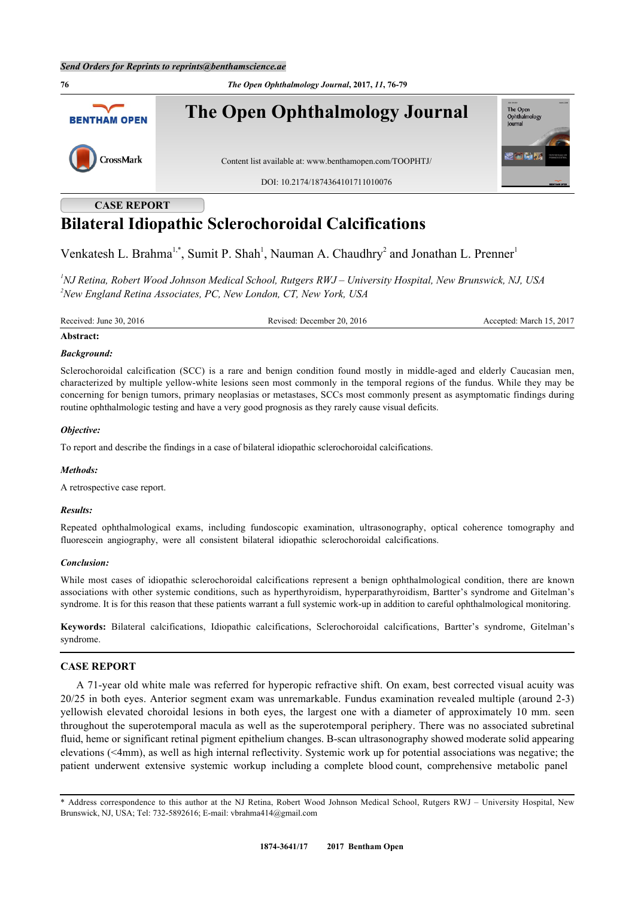**76** *The Open Ophthalmology Journal***, 2017,** *11***, 76-79 The Open Ophthalmology Journal** The Open<br>Ophthalm **BENTHAM OPEN** CrossMark Content list available at: [www.benthamopen.com/TOOPHTJ/](http://www.benthamopen.com/TOOPHTJ/) DOI: [10.2174/1874364101711010076](http://dx.doi.org/10.2174/1874364101711010076)

**CASE REPORT**

# **Bilateral Idiopathic Sclerochoroidal Calcifications**

Venkatesh L. Brahma<sup>[1,](#page-0-0)[\\*](#page-0-1)</sup>, Sumit P. Shah<sup>[1](#page-0-0)</sup>, Nauman A. Chaudhry<sup>[2](#page-0-2)</sup> and Jonathan L. Prenner<sup>1</sup>

<span id="page-0-2"></span><span id="page-0-0"></span>*<sup>1</sup>NJ Retina, Robert Wood Johnson Medical School, Rutgers RWJ – University Hospital, New Brunswick, NJ, USA <sup>2</sup>New England Retina Associates, PC, New London, CT, New York, USA*

Received: June 30, 2016 Revised: December 20, 2016 Accepted: March 15, 2017

#### **Abstract:**

#### *Background:*

Sclerochoroidal calcification (SCC) is a rare and benign condition found mostly in middle-aged and elderly Caucasian men. characterized by multiple yellow-white lesions seen most commonly in the temporal regions of the fundus. While they may be concerning for benign tumors, primary neoplasias or metastases, SCCs most commonly present as asymptomatic findings during routine ophthalmologic testing and have a very good prognosis as they rarely cause visual deficits.

#### *Objective:*

To report and describe the findings in a case of bilateral idiopathic sclerochoroidal calcifications.

#### *Methods:*

A retrospective case report.

#### *Results:*

Repeated ophthalmological exams, including fundoscopic examination, ultrasonography, optical coherence tomography and fluorescein angiography, were all consistent bilateral idiopathic sclerochoroidal calcifications.

#### *Conclusion:*

While most cases of idiopathic sclerochoroidal calcifications represent a benign ophthalmological condition, there are known associations with other systemic conditions, such as hyperthyroidism, hyperparathyroidism, Bartter's syndrome and Gitelman's syndrome. It is for this reason that these patients warrant a full systemic work-up in addition to careful ophthalmological monitoring.

**Keywords:** Bilateral calcifications, Idiopathic calcifications, Sclerochoroidal calcifications, Bartter's syndrome, Gitelman's syndrome.

# **CASE REPORT**

A 71-year old white male was referred for hyperopic refractive shift. On exam, best corrected visual acuity was 20/25 in both eyes. Anterior segment exam was unremarkable. Fundus examination revealed multiple (around 2-3) yellowish elevated choroidal lesions in both eyes, the largest one with a diameter of approximately 10 mm. seen throughout the superotemporal macula as well as the superotemporal periphery. There was no associated subretinal fluid, heme or significant retinal pigment epithelium changes. B-scan ultrasonography showed moderate solid appearing elevations (<4mm), as well as high internal reflectivity. Systemic work up for potential associations was negative; the patient underwent extensive systemic workup including a complete blood count, comprehensive metabolic panel

<span id="page-0-1"></span><sup>\*</sup> Address correspondence to this author at the NJ Retina, Robert Wood Johnson Medical School, Rutgers RWJ – University Hospital, New Brunswick, NJ, USA; Tel: 732-5892616; E-mail: [vbrahma414@gmail.com](mailto:vbrahma414@gmail.com)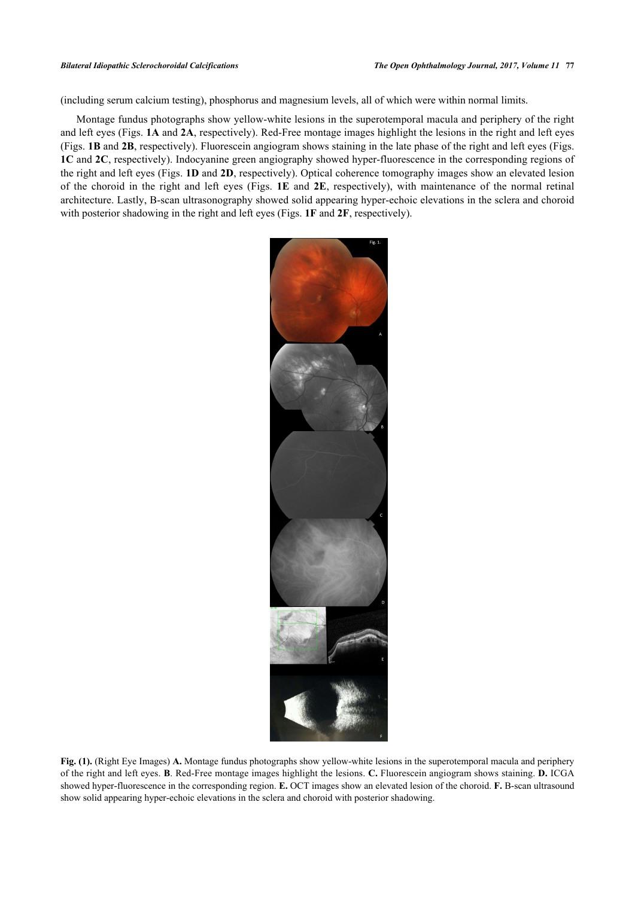(including serum calcium testing), phosphorus and magnesium levels, all of which were within normal limits.

Montage fundus photographs show yellow-white lesions in the superotemporal macula and periphery of the right and left eyes (Figs. **[1A](#page-1-0)** and **[2A](#page-2-0)**, respectively). Red-Free montage images highlight the lesions in the right and left eyes (Figs. **[1B](#page-1-0)** and **[2B](#page-2-0)**, respectively). Fluorescein angiogram shows staining in the late phase of the right and left eyes (Figs. **[1C](#page-1-0)** and **[2C](#page-2-0)**, respectively). Indocyanine green angiography showed hyper-fluorescence in the corresponding regions of the right and left eyes (Figs. **[1D](#page-1-0)** and **[2D](#page-2-0)**, respectively). Optical coherence tomography images show an elevated lesion of the choroid in the right and left eyes (Figs. **[1E](#page-1-0)** and **[2E](#page-2-0)**, respectively), with maintenance of the normal retinal architecture. Lastly, B-scan ultrasonography showed solid appearing hyper-echoic elevations in the sclera and choroid with posterior shadowing in the right and left eyes (Figs. **[1F](#page-1-0)** and **[2F](#page-2-0)**, respectively).

<span id="page-1-0"></span>

**Fig. (1).** (Right Eye Images) **A.** Montage fundus photographs show yellow-white lesions in the superotemporal macula and periphery of the right and left eyes. **B**. Red-Free montage images highlight the lesions. **C.** Fluorescein angiogram shows staining. **D.** ICGA showed hyper-fluorescence in the corresponding region. **E.** OCT images show an elevated lesion of the choroid. **F.** B-scan ultrasound show solid appearing hyper-echoic elevations in the sclera and choroid with posterior shadowing.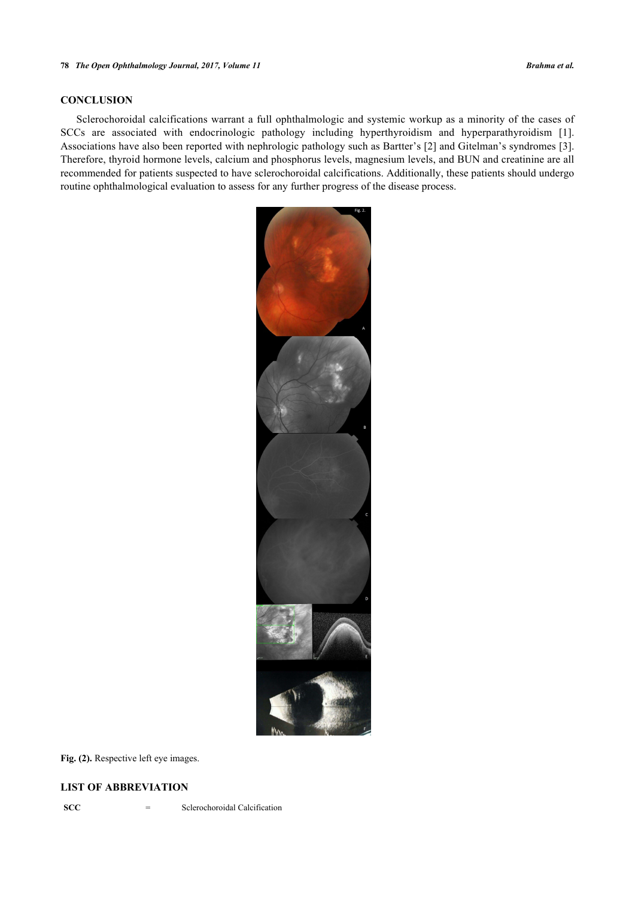# **CONCLUSION**

<span id="page-2-0"></span>Sclerochoroidal calcifications warrant a full ophthalmologic and systemic workup as a minority of the cases of SCCs are associated with endocrinologic pathology including hyperthyroidism and hyperparathyroidism[[1\]](#page-3-0). Associations have also been reported with nephrologic pathology such as Bartter's [[2](#page-3-1)] and Gitelman's syndromes [[3\]](#page-3-2). Therefore, thyroid hormone levels, calcium and phosphorus levels, magnesium levels, and BUN and creatinine are all recommended for patients suspected to have sclerochoroidal calcifications. Additionally, these patients should undergo routine ophthalmological evaluation to assess for any further progress of the disease process.



**Fig. (2).** Respective left eye images.

# **LIST OF ABBREVIATION**

**SCC** = Sclerochoroidal Calcification